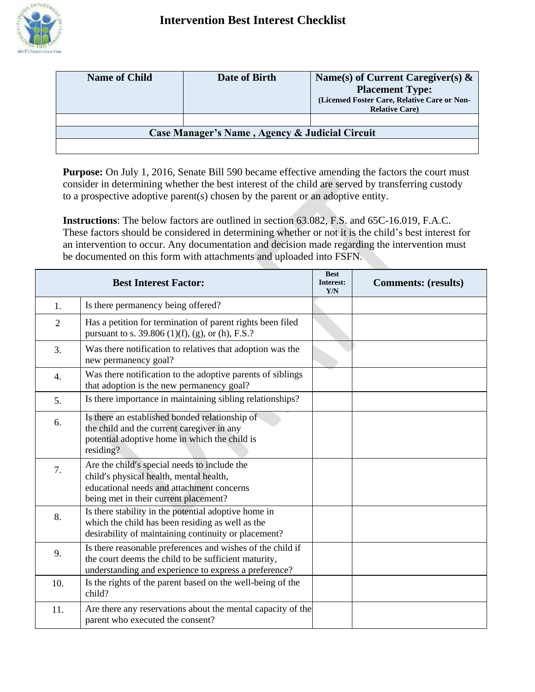

| <b>Name of Child</b>                           | Date of Birth | Name(s) of Current Caregiver(s) $\&$         |  |  |
|------------------------------------------------|---------------|----------------------------------------------|--|--|
|                                                |               | <b>Placement Type:</b>                       |  |  |
|                                                |               | (Licensed Foster Care, Relative Care or Non- |  |  |
|                                                |               | <b>Relative Care</b> )                       |  |  |
|                                                |               |                                              |  |  |
| Case Manager's Name, Agency & Judicial Circuit |               |                                              |  |  |
|                                                |               |                                              |  |  |

**Purpose:** On July 1, 2016, Senate Bill 590 became effective amending the factors the court must consider in determining whether the best interest of the child are served by transferring custody to a prospective adoptive parent(s) chosen by the parent or an adoptive entity.

**Instructions**: The below factors are outlined in section 63.082, F.S. and 65C-16.019, F.A.C. These factors should be considered in determining whether or not it is the child's best interest for an intervention to occur. Any documentation and decision made regarding the intervention must be documented on this form with attachments and uploaded into FSFN.

| <b>Best Interest Factor:</b> |                                                                                                                                                                               | <b>Best</b><br>Interest:<br>Y/N | <b>Comments: (results)</b> |
|------------------------------|-------------------------------------------------------------------------------------------------------------------------------------------------------------------------------|---------------------------------|----------------------------|
| 1.                           | Is there permanency being offered?                                                                                                                                            |                                 |                            |
| $\overline{2}$               | Has a petition for termination of parent rights been filed<br>pursuant to s. 39.806 (1)(f), (g), or (h), F.S.?                                                                |                                 |                            |
| 3.                           | Was there notification to relatives that adoption was the<br>new permanency goal?                                                                                             |                                 |                            |
| $\overline{4}$ .             | Was there notification to the adoptive parents of siblings<br>that adoption is the new permanency goal?                                                                       |                                 |                            |
| 5.                           | Is there importance in maintaining sibling relationships?                                                                                                                     |                                 |                            |
| 6.                           | Is there an established bonded relationship of<br>the child and the current caregiver in any<br>potential adoptive home in which the child is<br>residing?                    |                                 |                            |
| 7.                           | Are the child's special needs to include the<br>child's physical health, mental health,<br>educational needs and attachment concerns<br>being met in their current placement? |                                 |                            |
| 8.                           | Is there stability in the potential adoptive home in<br>which the child has been residing as well as the<br>desirability of maintaining continuity or placement?              |                                 |                            |
| 9.                           | Is there reasonable preferences and wishes of the child if<br>the court deems the child to be sufficient maturity,<br>understanding and experience to express a preference?   |                                 |                            |
| 10.                          | Is the rights of the parent based on the well-being of the<br>child?                                                                                                          |                                 |                            |
| 11.                          | Are there any reservations about the mental capacity of the<br>parent who executed the consent?                                                                               |                                 |                            |